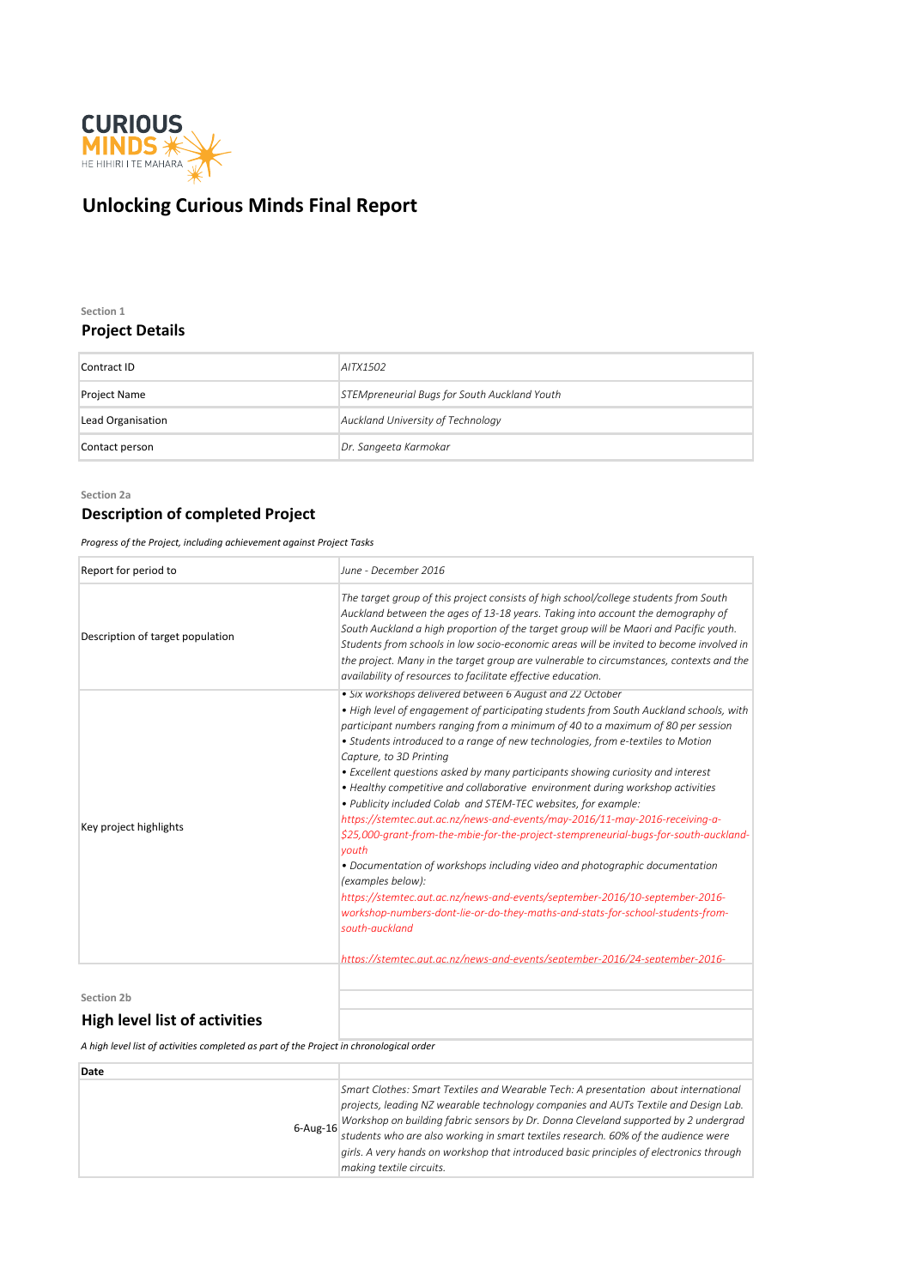

# **Unlocking Curious Minds Final Report**

#### **Section 1**

#### **Project Details**

| Contract ID       | AITX1502                                     |
|-------------------|----------------------------------------------|
| Project Name      | STEMpreneurial Bugs for South Auckland Youth |
| Lead Organisation | Auckland University of Technology            |
| Contact person    | Dr. Sangeeta Karmokar                        |

**Section 2a**

## **Description of completed Project**

*Progress of the Project, including achievement against Project Tasks*

| Report for period to                               | June - December 2016                                                                                                                                                                                                                                                                                                                                                                                                                                                                                                                                                                                                                                                                                                                                                                                                                                                                                                                                                                                                                                                                                                                              |
|----------------------------------------------------|---------------------------------------------------------------------------------------------------------------------------------------------------------------------------------------------------------------------------------------------------------------------------------------------------------------------------------------------------------------------------------------------------------------------------------------------------------------------------------------------------------------------------------------------------------------------------------------------------------------------------------------------------------------------------------------------------------------------------------------------------------------------------------------------------------------------------------------------------------------------------------------------------------------------------------------------------------------------------------------------------------------------------------------------------------------------------------------------------------------------------------------------------|
| Description of target population                   | The target group of this project consists of high school/college students from South<br>Auckland between the ages of 13-18 years. Taking into account the demography of<br>South Auckland a high proportion of the target group will be Maori and Pacific youth.<br>Students from schools in low socio-economic areas will be invited to become involved in<br>the project. Many in the target group are vulnerable to circumstances, contexts and the<br>availability of resources to facilitate effective education.                                                                                                                                                                                                                                                                                                                                                                                                                                                                                                                                                                                                                            |
| Key project highlights                             | • Six workshops delivered between 6 August and 22 October<br>• High level of engagement of participating students from South Auckland schools, with<br>participant numbers ranging from a minimum of 40 to a maximum of 80 per session<br>• Students introduced to a range of new technologies, from e-textiles to Motion<br>Capture, to 3D Printing<br>• Excellent questions asked by many participants showing curiosity and interest<br>• Healthy competitive and collaborative environment during workshop activities<br>. Publicity included Colab and STEM-TEC websites, for example:<br>https://stemtec.aut.ac.nz/news-and-events/may-2016/11-may-2016-receiving-a-<br>\$25,000-grant-from-the-mbie-for-the-project-stempreneurial-bugs-for-south-auckland-<br>vouth<br>• Documentation of workshops including video and photographic documentation<br>(examples below):<br>https://stemtec.aut.ac.nz/news-and-events/september-2016/10-september-2016-<br>workshop-numbers-dont-lie-or-do-they-maths-and-stats-for-school-students-from-<br>south-auckland<br>httns://stemtec.aut.ac.nz/news-and-events/sentemher-2016/24-sentemher-2016- |
| Section 2b<br><b>High level list of activities</b> |                                                                                                                                                                                                                                                                                                                                                                                                                                                                                                                                                                                                                                                                                                                                                                                                                                                                                                                                                                                                                                                                                                                                                   |

*A high level list of activities completed as part of the Project in chronological order*

| Date        |                                                                                                                                                                                                                                                                                                                                                                                                                                                                                |
|-------------|--------------------------------------------------------------------------------------------------------------------------------------------------------------------------------------------------------------------------------------------------------------------------------------------------------------------------------------------------------------------------------------------------------------------------------------------------------------------------------|
| $6$ -Aug-16 | Smart Clothes: Smart Textiles and Wearable Tech: A presentation about international<br>projects, leading NZ wearable technology companies and AUTs Textile and Design Lab.<br>Workshop on building fabric sensors by Dr. Donna Cleveland supported by 2 undergrad<br>students who are also working in smart textiles research. 60% of the audience were<br>girls. A very hands on workshop that introduced basic principles of electronics through<br>making textile circuits. |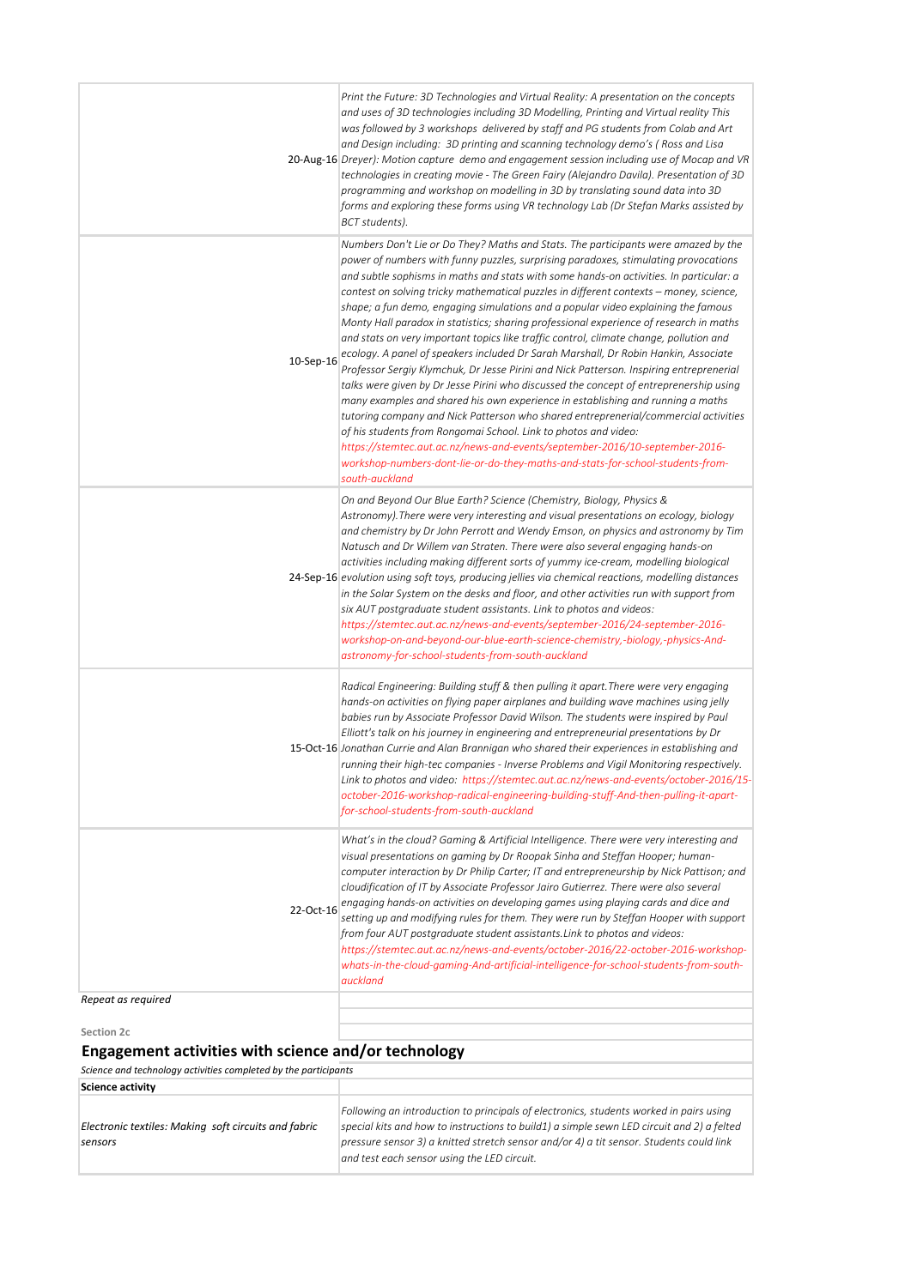|                                                                                            | Print the Future: 3D Technologies and Virtual Reality: A presentation on the concepts<br>and uses of 3D technologies including 3D Modelling, Printing and Virtual reality This<br>was followed by 3 workshops delivered by staff and PG students from Colab and Art<br>and Design including: 3D printing and scanning technology demo's (Ross and Lisa<br>20-Aug-16 Dreyer): Motion capture demo and engagement session including use of Mocap and VR<br>technologies in creating movie - The Green Fairy (Alejandro Davila). Presentation of 3D<br>programming and workshop on modelling in 3D by translating sound data into 3D<br>forms and exploring these forms using VR technology Lab (Dr Stefan Marks assisted by<br>BCT students).                                                                                                                                                                                                                                                                                                                                                                                                                                                                                                                                                                                                        |
|--------------------------------------------------------------------------------------------|----------------------------------------------------------------------------------------------------------------------------------------------------------------------------------------------------------------------------------------------------------------------------------------------------------------------------------------------------------------------------------------------------------------------------------------------------------------------------------------------------------------------------------------------------------------------------------------------------------------------------------------------------------------------------------------------------------------------------------------------------------------------------------------------------------------------------------------------------------------------------------------------------------------------------------------------------------------------------------------------------------------------------------------------------------------------------------------------------------------------------------------------------------------------------------------------------------------------------------------------------------------------------------------------------------------------------------------------------|
| 10-Sep-16                                                                                  | Numbers Don't Lie or Do They? Maths and Stats. The participants were amazed by the<br>power of numbers with funny puzzles, surprising paradoxes, stimulating provocations<br>and subtle sophisms in maths and stats with some hands-on activities. In particular: a<br>contest on solving tricky mathematical puzzles in different contexts - money, science,<br>shape; a fun demo, engaging simulations and a popular video explaining the famous<br>Monty Hall paradox in statistics; sharing professional experience of research in maths<br>and stats on very important topics like traffic control, climate change, pollution and<br>ecology. A panel of speakers included Dr Sarah Marshall, Dr Robin Hankin, Associate<br>Professor Sergiy Klymchuk, Dr Jesse Pirini and Nick Patterson. Inspiring entreprenerial<br>talks were given by Dr Jesse Pirini who discussed the concept of entreprenership using<br>many examples and shared his own experience in establishing and running a maths<br>tutoring company and Nick Patterson who shared entreprenerial/commercial activities<br>of his students from Rongomai School. Link to photos and video:<br>https://stemtec.aut.ac.nz/news-and-events/september-2016/10-september-2016-<br>workshop-numbers-dont-lie-or-do-they-maths-and-stats-for-school-students-from-<br>south-auckland |
|                                                                                            | On and Beyond Our Blue Earth? Science (Chemistry, Biology, Physics &<br>Astronomy). There were very interesting and visual presentations on ecology, biology<br>and chemistry by Dr John Perrott and Wendy Emson, on physics and astronomy by Tim<br>Natusch and Dr Willem van Straten. There were also several engaging hands-on<br>activities including making different sorts of yummy ice-cream, modelling biological<br>24-Sep-16 evolution using soft toys, producing jellies via chemical reactions, modelling distances<br>in the Solar System on the desks and floor, and other activities run with support from<br>six AUT postgraduate student assistants. Link to photos and videos:<br>https://stemtec.aut.ac.nz/news-and-events/september-2016/24-september-2016-<br>workshop-on-and-beyond-our-blue-earth-science-chemistry,-biology,-physics-And-<br>astronomy-for-school-students-from-south-auckland                                                                                                                                                                                                                                                                                                                                                                                                                             |
|                                                                                            | Radical Engineering: Building stuff & then pulling it apart. There were very engaging<br>hands-on activities on flying paper airplanes and building wave machines using jelly<br>babies run by Associate Professor David Wilson. The students were inspired by Paul<br>Elliott's talk on his journey in engineering and entrepreneurial presentations by Dr<br>15-Oct-16 Jonathan Currie and Alan Brannigan who shared their experiences in establishing and<br>running their high-tec companies - Inverse Problems and Vigil Monitoring respectively.<br>Link to photos and video: https://stemtec.aut.ac.nz/news-and-events/october-2016/15-<br>october-2016-workshop-radical-engineering-building-stuff-And-then-pulling-it-apart-<br>for-school-students-from-south-auckland                                                                                                                                                                                                                                                                                                                                                                                                                                                                                                                                                                   |
| 22-Oct-16                                                                                  | What's in the cloud? Gaming & Artificial Intelligence. There were very interesting and<br>visual presentations on gaming by Dr Roopak Sinha and Steffan Hooper; human-<br>computer interaction by Dr Philip Carter; IT and entrepreneurship by Nick Pattison; and<br>cloudification of IT by Associate Professor Jairo Gutierrez. There were also several<br>engaging hands-on activities on developing games using playing cards and dice and<br>setting up and modifying rules for them. They were run by Steffan Hooper with support<br>from four AUT postgraduate student assistants. Link to photos and videos:<br>https://stemtec.aut.ac.nz/news-and-events/october-2016/22-october-2016-workshop-<br>whats-in-the-cloud-gaming-And-artificial-intelligence-for-school-students-from-south-<br>auckland                                                                                                                                                                                                                                                                                                                                                                                                                                                                                                                                      |
| Repeat as required                                                                         |                                                                                                                                                                                                                                                                                                                                                                                                                                                                                                                                                                                                                                                                                                                                                                                                                                                                                                                                                                                                                                                                                                                                                                                                                                                                                                                                                    |
|                                                                                            |                                                                                                                                                                                                                                                                                                                                                                                                                                                                                                                                                                                                                                                                                                                                                                                                                                                                                                                                                                                                                                                                                                                                                                                                                                                                                                                                                    |
| Section 2c                                                                                 |                                                                                                                                                                                                                                                                                                                                                                                                                                                                                                                                                                                                                                                                                                                                                                                                                                                                                                                                                                                                                                                                                                                                                                                                                                                                                                                                                    |
| Engagement activities with science and/or technology                                       |                                                                                                                                                                                                                                                                                                                                                                                                                                                                                                                                                                                                                                                                                                                                                                                                                                                                                                                                                                                                                                                                                                                                                                                                                                                                                                                                                    |
| Science and technology activities completed by the participants<br><b>Science activity</b> |                                                                                                                                                                                                                                                                                                                                                                                                                                                                                                                                                                                                                                                                                                                                                                                                                                                                                                                                                                                                                                                                                                                                                                                                                                                                                                                                                    |
|                                                                                            |                                                                                                                                                                                                                                                                                                                                                                                                                                                                                                                                                                                                                                                                                                                                                                                                                                                                                                                                                                                                                                                                                                                                                                                                                                                                                                                                                    |
| Electronic textiles: Making soft circuits and fabric<br>sensors                            | Following an introduction to principals of electronics, students worked in pairs using<br>special kits and how to instructions to build1) a simple sewn LED circuit and 2) a felted<br>pressure sensor 3) a knitted stretch sensor and/or 4) a tit sensor. Students could link<br>and test each sensor using the LED circuit.                                                                                                                                                                                                                                                                                                                                                                                                                                                                                                                                                                                                                                                                                                                                                                                                                                                                                                                                                                                                                      |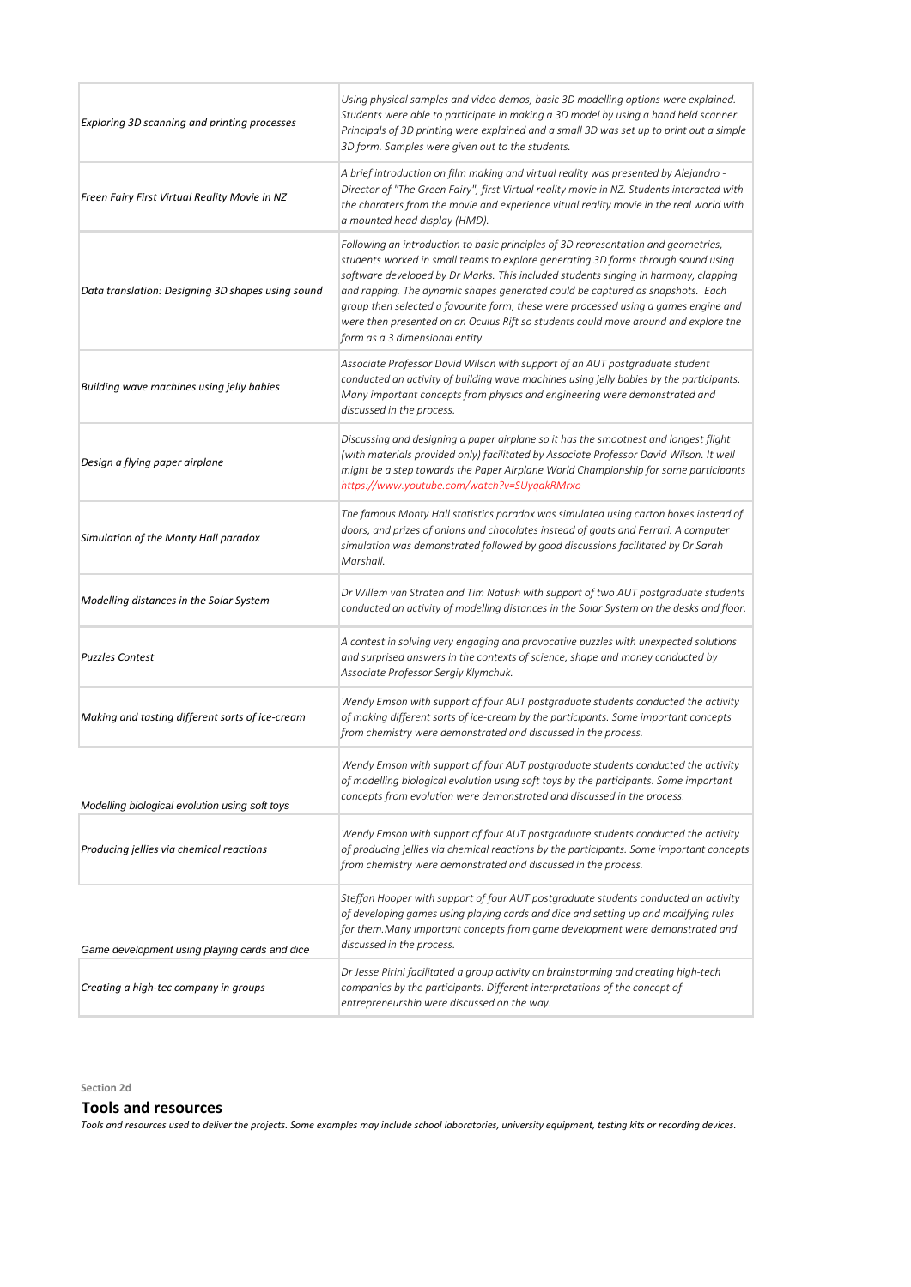| Exploring 3D scanning and printing processes      | Using physical samples and video demos, basic 3D modelling options were explained.<br>Students were able to participate in making a 3D model by using a hand held scanner.<br>Principals of 3D printing were explained and a small 3D was set up to print out a simple<br>3D form. Samples were given out to the students.                                                                                                                                                                                                                                        |
|---------------------------------------------------|-------------------------------------------------------------------------------------------------------------------------------------------------------------------------------------------------------------------------------------------------------------------------------------------------------------------------------------------------------------------------------------------------------------------------------------------------------------------------------------------------------------------------------------------------------------------|
| Freen Fairy First Virtual Reality Movie in NZ     | A brief introduction on film making and virtual reality was presented by Alejandro -<br>Director of "The Green Fairy", first Virtual reality movie in NZ. Students interacted with<br>the charaters from the movie and experience vitual reality movie in the real world with<br>a mounted head display (HMD).                                                                                                                                                                                                                                                    |
| Data translation: Designing 3D shapes using sound | Following an introduction to basic principles of 3D representation and geometries,<br>students worked in small teams to explore generating 3D forms through sound using<br>software developed by Dr Marks. This included students singing in harmony, clapping<br>and rapping. The dynamic shapes generated could be captured as snapshots. Each<br>group then selected a favourite form, these were processed using a games engine and<br>were then presented on an Oculus Rift so students could move around and explore the<br>form as a 3 dimensional entity. |
| Building wave machines using jelly babies         | Associate Professor David Wilson with support of an AUT postgraduate student<br>conducted an activity of building wave machines using jelly babies by the participants.<br>Many important concepts from physics and engineering were demonstrated and<br>discussed in the process.                                                                                                                                                                                                                                                                                |
| Design a flying paper airplane                    | Discussing and designing a paper airplane so it has the smoothest and longest flight<br>(with materials provided only) facilitated by Associate Professor David Wilson. It well<br>might be a step towards the Paper Airplane World Championship for some participants<br>https://www.youtube.com/watch?v=SUyqakRMrxo                                                                                                                                                                                                                                             |
| Simulation of the Monty Hall paradox              | The famous Monty Hall statistics paradox was simulated using carton boxes instead of<br>doors, and prizes of onions and chocolates instead of goats and Ferrari. A computer<br>simulation was demonstrated followed by good discussions facilitated by Dr Sarah<br>Marshall.                                                                                                                                                                                                                                                                                      |
| Modelling distances in the Solar System           | Dr Willem van Straten and Tim Natush with support of two AUT postgraduate students<br>conducted an activity of modelling distances in the Solar System on the desks and floor.                                                                                                                                                                                                                                                                                                                                                                                    |
| <b>Puzzles Contest</b>                            | A contest in solving very engaging and provocative puzzles with unexpected solutions<br>and surprised answers in the contexts of science, shape and money conducted by<br>Associate Professor Sergiy Klymchuk.                                                                                                                                                                                                                                                                                                                                                    |
| Making and tasting different sorts of ice-cream   | Wendy Emson with support of four AUT postgraduate students conducted the activity<br>of making different sorts of ice-cream by the participants. Some important concepts<br>from chemistry were demonstrated and discussed in the process.                                                                                                                                                                                                                                                                                                                        |
| Modelling biological evolution using soft toys    | Wendy Emson with support of four AUT postgraduate students conducted the activity<br>of modelling biological evolution using soft toys by the participants. Some important<br>concepts from evolution were demonstrated and discussed in the process.                                                                                                                                                                                                                                                                                                             |
| Producing jellies via chemical reactions          | Wendy Emson with support of four AUT postgraduate students conducted the activity<br>of producing jellies via chemical reactions by the participants. Some important concepts<br>from chemistry were demonstrated and discussed in the process.                                                                                                                                                                                                                                                                                                                   |
| Game development using playing cards and dice     | Steffan Hooper with support of four AUT postgraduate students conducted an activity<br>of developing games using playing cards and dice and setting up and modifying rules<br>for them.Many important concepts from game development were demonstrated and<br>discussed in the process.                                                                                                                                                                                                                                                                           |
| Creating a high-tec company in groups             | Dr Jesse Pirini facilitated a group activity on brainstorming and creating high-tech<br>companies by the participants. Different interpretations of the concept of<br>entrepreneurship were discussed on the way.                                                                                                                                                                                                                                                                                                                                                 |

**Section 2d**

#### **Tools and resources**

*Tools and resources used to deliver the projects. Some examples may include school laboratories, university equipment, testing kits or recording devices.*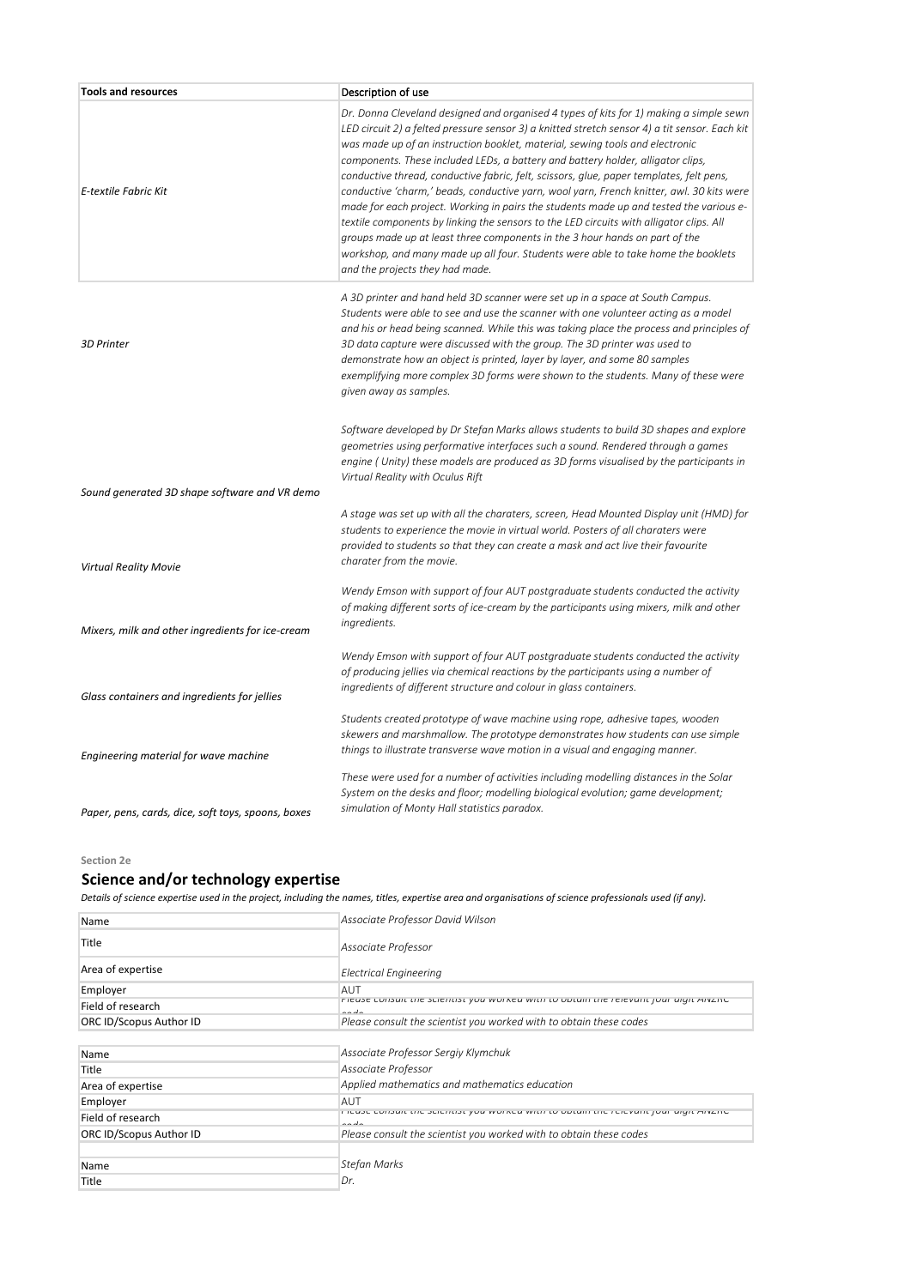| <b>Tools and resources</b>                         | Description of use                                                                                                                                                                                                                                                                                                                                                                                                                                                                                                                                                                                                                                                                                                                                                                                                                                                                                                                            |
|----------------------------------------------------|-----------------------------------------------------------------------------------------------------------------------------------------------------------------------------------------------------------------------------------------------------------------------------------------------------------------------------------------------------------------------------------------------------------------------------------------------------------------------------------------------------------------------------------------------------------------------------------------------------------------------------------------------------------------------------------------------------------------------------------------------------------------------------------------------------------------------------------------------------------------------------------------------------------------------------------------------|
| E-textile Fabric Kit                               | Dr. Donna Cleveland designed and organised 4 types of kits for 1) making a simple sewn<br>LED circuit 2) a felted pressure sensor 3) a knitted stretch sensor 4) a tit sensor. Each kit<br>was made up of an instruction booklet, material, sewing tools and electronic<br>components. These included LEDs, a battery and battery holder, alligator clips,<br>conductive thread, conductive fabric, felt, scissors, glue, paper templates, felt pens,<br>conductive 'charm,' beads, conductive yarn, wool yarn, French knitter, awl. 30 kits were<br>made for each project. Working in pairs the students made up and tested the various e-<br>textile components by linking the sensors to the LED circuits with alligator clips. All<br>groups made up at least three components in the 3 hour hands on part of the<br>workshop, and many made up all four. Students were able to take home the booklets<br>and the projects they had made. |
| 3D Printer                                         | A 3D printer and hand held 3D scanner were set up in a space at South Campus.<br>Students were able to see and use the scanner with one volunteer acting as a model<br>and his or head being scanned. While this was taking place the process and principles of<br>3D data capture were discussed with the group. The 3D printer was used to<br>demonstrate how an object is printed, layer by layer, and some 80 samples<br>exemplifying more complex 3D forms were shown to the students. Many of these were<br>given away as samples.                                                                                                                                                                                                                                                                                                                                                                                                      |
| Sound generated 3D shape software and VR demo      | Software developed by Dr Stefan Marks allows students to build 3D shapes and explore<br>geometries using performative interfaces such a sound. Rendered through a games<br>engine (Unity) these models are produced as 3D forms visualised by the participants in<br>Virtual Reality with Oculus Rift                                                                                                                                                                                                                                                                                                                                                                                                                                                                                                                                                                                                                                         |
| <b>Virtual Reality Movie</b>                       | A stage was set up with all the charaters, screen, Head Mounted Display unit (HMD) for<br>students to experience the movie in virtual world. Posters of all charaters were<br>provided to students so that they can create a mask and act live their favourite<br>charater from the movie.                                                                                                                                                                                                                                                                                                                                                                                                                                                                                                                                                                                                                                                    |
| Mixers, milk and other ingredients for ice-cream   | Wendy Emson with support of four AUT postgraduate students conducted the activity<br>of making different sorts of ice-cream by the participants using mixers, milk and other<br>ingredients.                                                                                                                                                                                                                                                                                                                                                                                                                                                                                                                                                                                                                                                                                                                                                  |
| Glass containers and ingredients for jellies       | Wendy Emson with support of four AUT postgraduate students conducted the activity<br>of producing jellies via chemical reactions by the participants using a number of<br>ingredients of different structure and colour in glass containers.                                                                                                                                                                                                                                                                                                                                                                                                                                                                                                                                                                                                                                                                                                  |
| Engineering material for wave machine              | Students created prototype of wave machine using rope, adhesive tapes, wooden<br>skewers and marshmallow. The prototype demonstrates how students can use simple<br>things to illustrate transverse wave motion in a visual and engaging manner.                                                                                                                                                                                                                                                                                                                                                                                                                                                                                                                                                                                                                                                                                              |
| Paper, pens, cards, dice, soft toys, spoons, boxes | These were used for a number of activities including modelling distances in the Solar<br>System on the desks and floor; modelling biological evolution; game development;<br>simulation of Monty Hall statistics paradox.                                                                                                                                                                                                                                                                                                                                                                                                                                                                                                                                                                                                                                                                                                                     |

#### **Section 2e**

### **Science and/or technology expertise**

*Details of science expertise used in the project, including the names, titles, expertise area and organisations of science professionals used (if any).* 

| Name                    | Associate Professor David Wilson                                                            |
|-------------------------|---------------------------------------------------------------------------------------------|
| Title                   | Associate Professor                                                                         |
| Area of expertise       | <b>Electrical Engineering</b>                                                               |
| Employer                | AUT                                                                                         |
| Field of research       | רוכעסכ כטווסעונינווכ סטוכוונוסג אטע איטרוכע איתורנט טטנעוורנווכ רכוכאעות ןטער עוקוניאויבווכ |
| ORC ID/Scopus Author ID | Please consult the scientist you worked with to obtain these codes                          |
|                         |                                                                                             |
| Name                    | Associate Professor Sergiy Klymchuk                                                         |
| Title                   | Associate Professor                                                                         |
| Area of expertise       | Applied mathematics and mathematics education                                               |
| Employer                | AUT                                                                                         |
| Field of research       | רוכעסכ כטווסעונינווכ סטוכוונוסג אטע איטרוכע איתורנט טטנעוורנווכ רכוכאעות ןטער עוקוניאויבווכ |
| ORC ID/Scopus Author ID | Please consult the scientist you worked with to obtain these codes                          |
|                         |                                                                                             |
| Name                    | Stefan Marks                                                                                |
| Title                   | Dr.                                                                                         |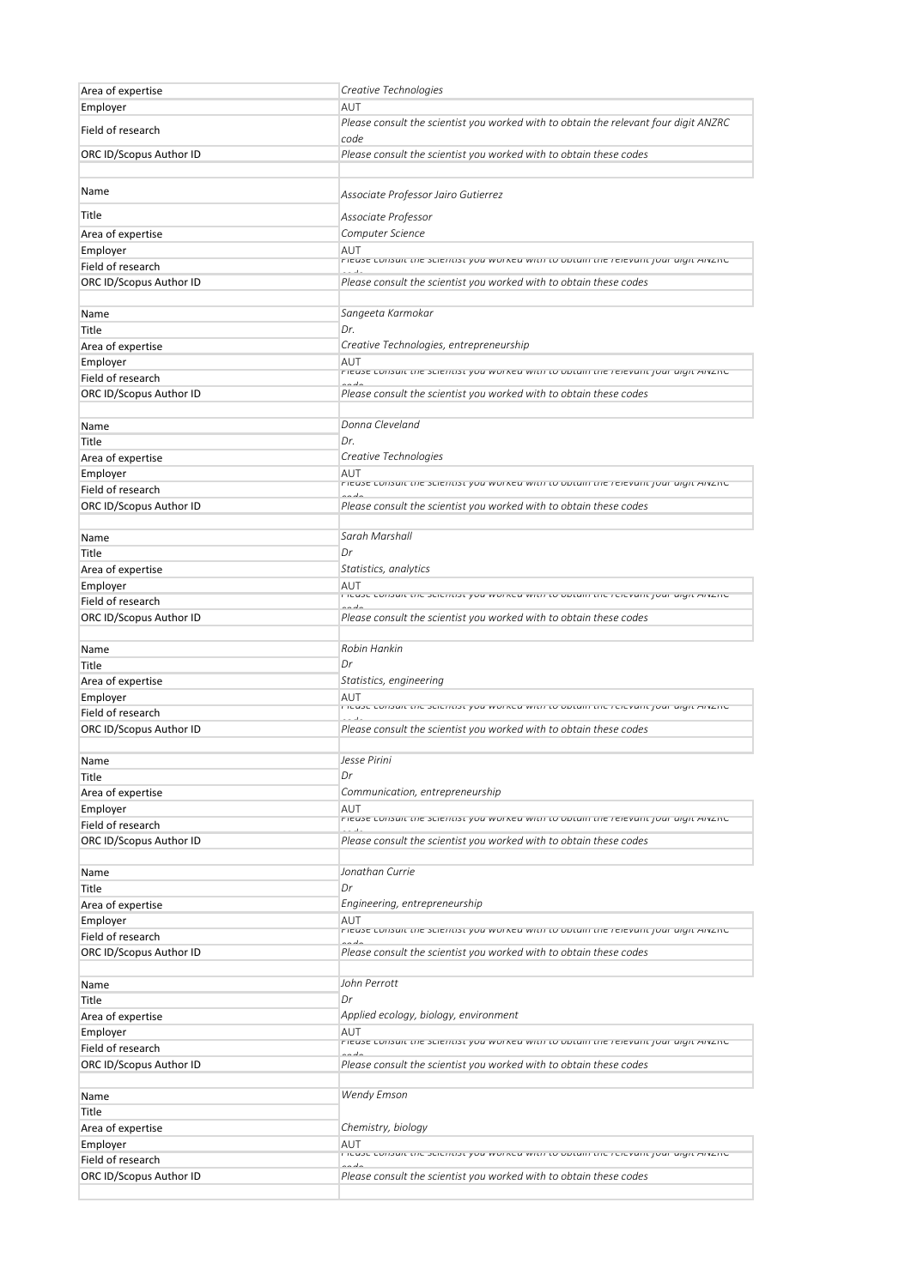| Area of expertise       | Creative Technologies                                                                                 |  |
|-------------------------|-------------------------------------------------------------------------------------------------------|--|
| Employer                | AUT                                                                                                   |  |
|                         | Please consult the scientist you worked with to obtain the relevant four digit ANZRC                  |  |
| Field of research       | code                                                                                                  |  |
| ORC ID/Scopus Author ID | Please consult the scientist you worked with to obtain these codes                                    |  |
|                         |                                                                                                       |  |
|                         |                                                                                                       |  |
| Name                    | Associate Professor Jairo Gutierrez                                                                   |  |
| Title                   | Associate Professor                                                                                   |  |
| Area of expertise       | Computer Science                                                                                      |  |
| Employer                | AUT                                                                                                   |  |
| Field of research       | דוכטאב כטוואטור נווכ אטוכוונואר צטט איטוולכט אינוורנט טטנטוור נווכ רכוכ אטור טוטן שוקור אויבווק       |  |
| ORC ID/Scopus Author ID | Please consult the scientist you worked with to obtain these codes                                    |  |
|                         |                                                                                                       |  |
| Name                    | Sangeeta Karmokar                                                                                     |  |
| Title                   | Dr.                                                                                                   |  |
| Area of expertise       | Creative Technologies, entrepreneurship                                                               |  |
| Employer                | AUT                                                                                                   |  |
| Field of research       | דוכטאב כטוואטור נווכ אטוכוונואר γטט איטרולט אינוורנט טטנטוור נווכ רכוכ אטוררןטטר טועור אויבווכ        |  |
| ORC ID/Scopus Author ID | Please consult the scientist you worked with to obtain these codes                                    |  |
|                         |                                                                                                       |  |
| Name                    | Donna Cleveland                                                                                       |  |
| Title                   | Dr.                                                                                                   |  |
| Area of expertise       | Creative Technologies                                                                                 |  |
| Employer                | AUT                                                                                                   |  |
| Field of research       | רוכעשכ כטוושעונ נווכ שטוכוונושג אטע איטו גכע איתורגט טאנעווו נווכ רכוכאעות ןטער עועןת אויצו/כ         |  |
|                         |                                                                                                       |  |
| ORC ID/Scopus Author ID | Please consult the scientist you worked with to obtain these codes                                    |  |
|                         | Sarah Marshall                                                                                        |  |
| Name                    | Dr                                                                                                    |  |
| Title                   | Statistics, analytics                                                                                 |  |
| Area of expertise       |                                                                                                       |  |
| Employer                | AUT<br>רוכעשכ כטוושעונ נווכ שטוכוונושג ץטע איטוולכע איתורגט טאנעווו נווכ רכוכעעווג ןטער עוקוג אויצווכ |  |
| Field of research       |                                                                                                       |  |
| ORC ID/Scopus Author ID | Please consult the scientist you worked with to obtain these codes                                    |  |
|                         |                                                                                                       |  |
|                         |                                                                                                       |  |
| Name                    | Robin Hankin                                                                                          |  |
| Title                   | Dr                                                                                                    |  |
| Area of expertise       | Statistics, engineering                                                                               |  |
| Employer                | AUT<br>רוכעשכ כטוושעונ נווכ שטוכוונושג אטע איטו גכע איתורגט טאנעווו נווכ רכוכאעות ןטער עועןת אויצו/כ  |  |
| Field of research       |                                                                                                       |  |
| ORC ID/Scopus Author ID | Please consult the scientist you worked with to obtain these codes                                    |  |
|                         |                                                                                                       |  |
| Name                    | Jesse Pirini                                                                                          |  |
| Title                   | Dr                                                                                                    |  |
| Area of expertise       | Communication, entrepreneurship                                                                       |  |
| Employer                | AUT                                                                                                   |  |
| Field of research       | FIEUSE CONSUIT THE SCIENTIST YOU WONTED WITH TO ODTUIN THE FEIEVUITE JOUR UIQIT AIVENC.               |  |
| ORC ID/Scopus Author ID | Please consult the scientist you worked with to obtain these codes                                    |  |
|                         |                                                                                                       |  |
| Name                    | Jonathan Currie                                                                                       |  |
| Title                   | Dr                                                                                                    |  |
| Area of expertise       | Engineering, entrepreneurship                                                                         |  |
| Employer                | AUT                                                                                                   |  |
| Field of research       | רוכעשכ כטוושעונ נווכ שטוכוונושג ץטע איטוולכע איתורגט טאנעווו נווכ רכוכעעווג ןטער עוקוג אויצווכ        |  |
| ORC ID/Scopus Author ID | Please consult the scientist you worked with to obtain these codes                                    |  |
|                         |                                                                                                       |  |
| Name                    | John Perrott                                                                                          |  |
| Title                   | Dr                                                                                                    |  |
| Area of expertise       | Applied ecology, biology, environment                                                                 |  |
| Employer                | AUT                                                                                                   |  |
| Field of research       | רוכעשכ כטוושעונ נווכ שטוכוונושג אטע איטו גכע איתורגט טאנעווו נווכ רכוכאעות ןטער עועןת אויצו/כ         |  |
| ORC ID/Scopus Author ID | Please consult the scientist you worked with to obtain these codes                                    |  |
|                         |                                                                                                       |  |
| Name                    | Wendy Emson                                                                                           |  |
| Title                   |                                                                                                       |  |
| Area of expertise       | Chemistry, biology                                                                                    |  |
| Employer                | AUT                                                                                                   |  |
| Field of research       | רוכעשכ נטוושעונ נווכ שטוכוונושג אטע איטוועכע אינוו גט טאנעווו נווכ וכוכאעווג ןטער עועןת אויצווט       |  |
| ORC ID/Scopus Author ID | Please consult the scientist you worked with to obtain these codes                                    |  |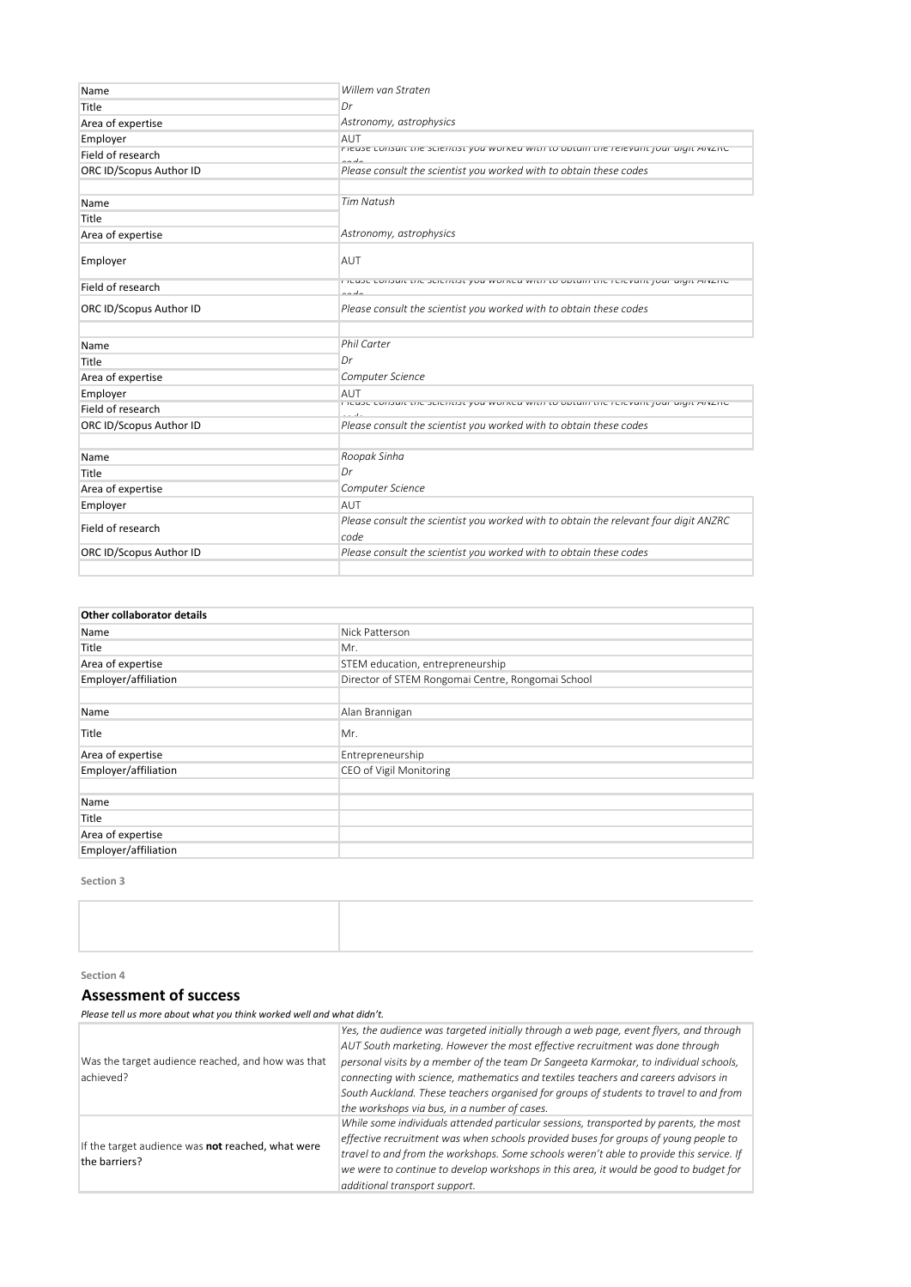| Name                    | Willem van Straten                                                                           |
|-------------------------|----------------------------------------------------------------------------------------------|
| Title                   | Dr                                                                                           |
| Area of expertise       | Astronomy, astrophysics                                                                      |
| Employer                | AUT                                                                                          |
| Field of research       | רוכעאכ כטוואות חופ אטפותואר אטע אוטראכע אותורנט טטנעווורנווכ רכוכזעות ןטער עוואַת אוזצוזכ    |
| ORC ID/Scopus Author ID | Please consult the scientist you worked with to obtain these codes                           |
| Name                    | <b>Tim Natush</b>                                                                            |
| Title                   |                                                                                              |
| Area of expertise       | Astronomy, astrophysics                                                                      |
| Employer                | AUT                                                                                          |
| Field of research       | FIEUSE CONSUIL LITE SCIENTIST YOU WONCU WITH TO ODIUIH THE FEIEVUITE JOUF UITH AIVENC        |
| ORC ID/Scopus Author ID | Please consult the scientist you worked with to obtain these codes                           |
| Name                    | Phil Carter                                                                                  |
| Title                   | Dr                                                                                           |
| Area of expertise       | Computer Science                                                                             |
| Employer                | AUT                                                                                          |
| Field of research       | FIEUSE CONSUIL LITE SCIENTIST YOU WONCU WITH TO ODIUIH THE FEIEVUITE JOUF UITH AIVENC        |
| ORC ID/Scopus Author ID | Please consult the scientist you worked with to obtain these codes                           |
| Name                    | Roopak Sinha                                                                                 |
| Title                   | Dr                                                                                           |
| Area of expertise       | Computer Science                                                                             |
| Employer                | AUT                                                                                          |
| Field of research       | Please consult the scientist you worked with to obtain the relevant four digit ANZRC<br>code |
| ORC ID/Scopus Author ID | Please consult the scientist you worked with to obtain these codes                           |

| Other collaborator details |                                                   |  |
|----------------------------|---------------------------------------------------|--|
| Name                       | Nick Patterson                                    |  |
| Title                      | Mr.                                               |  |
| Area of expertise          | STEM education, entrepreneurship                  |  |
| Employer/affiliation       | Director of STEM Rongomai Centre, Rongomai School |  |
|                            |                                                   |  |
| Name                       | Alan Brannigan                                    |  |
| Title                      | Mr.                                               |  |
| Area of expertise          | Entrepreneurship                                  |  |
| Employer/affiliation       | CEO of Vigil Monitoring                           |  |
|                            |                                                   |  |
| Name                       |                                                   |  |
| Title                      |                                                   |  |
| Area of expertise          |                                                   |  |
| Employer/affiliation       |                                                   |  |

**Section 3**

**Section 4**

#### **Assessment of success**

*Please tell us more about what you think worked well and what didn't.* 

| Was the target audience reached, and how was that<br>achieved?     | Yes, the audience was targeted initially through a web page, event flyers, and through<br>AUT South marketing. However the most effective recruitment was done through<br>personal visits by a member of the team Dr Sangeeta Karmokar, to individual schools,<br>connecting with science, mathematics and textiles teachers and careers advisors in<br>South Auckland. These teachers organised for groups of students to travel to and from<br>the workshops via bus, in a number of cases. |
|--------------------------------------------------------------------|-----------------------------------------------------------------------------------------------------------------------------------------------------------------------------------------------------------------------------------------------------------------------------------------------------------------------------------------------------------------------------------------------------------------------------------------------------------------------------------------------|
| If the target audience was not reached, what were<br>the barriers? | While some individuals attended particular sessions, transported by parents, the most<br>effective recruitment was when schools provided buses for groups of young people to<br>travel to and from the workshops. Some schools weren't able to provide this service. If<br>we were to continue to develop workshops in this area, it would be good to budget for<br>additional transport support.                                                                                             |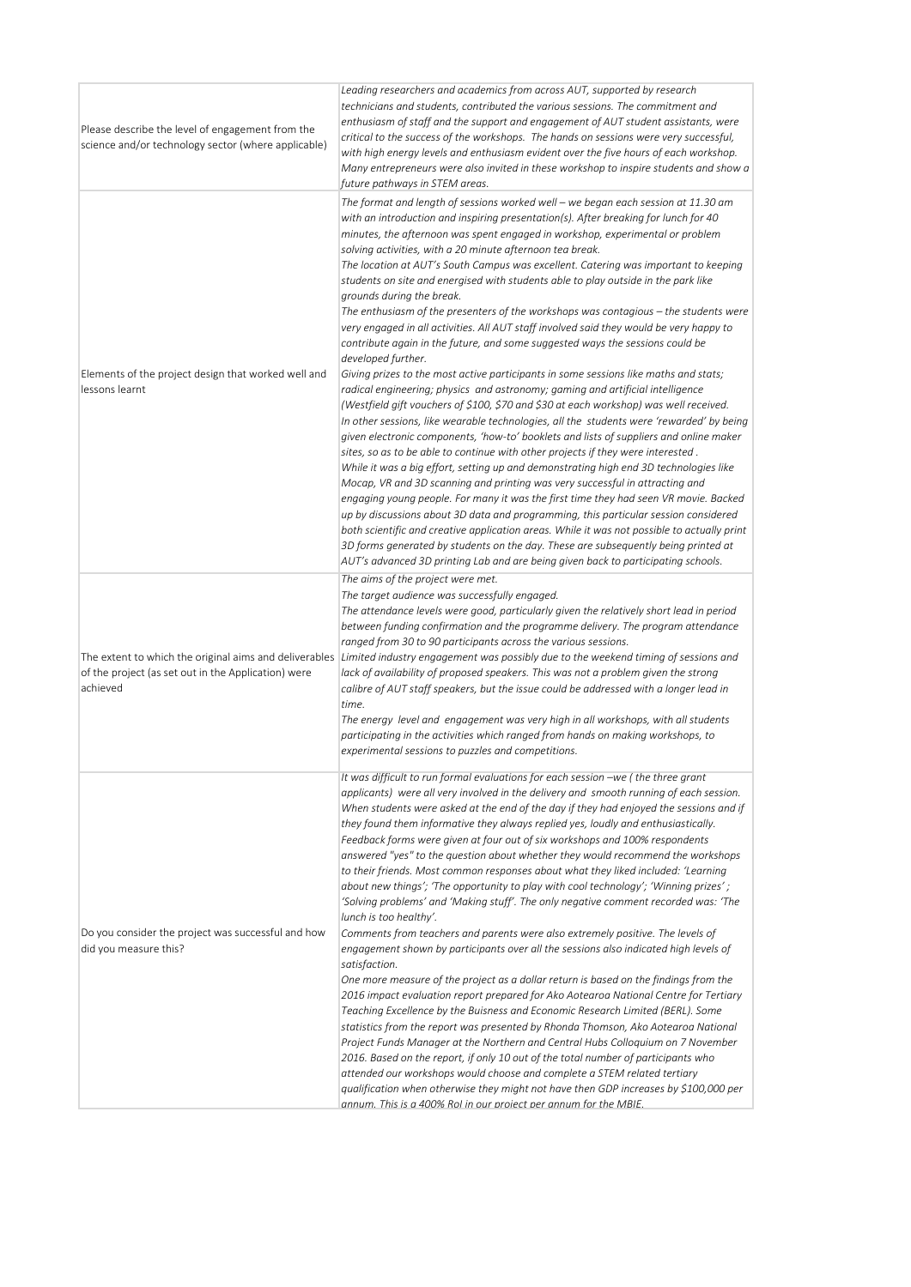| Please describe the level of engagement from the<br>science and/or technology sector (where applicable) | Leading researchers and academics from across AUT, supported by research<br>technicians and students, contributed the various sessions. The commitment and<br>enthusiasm of staff and the support and engagement of AUT student assistants, were<br>critical to the success of the workshops. The hands on sessions were very successful,<br>with high energy levels and enthusiasm evident over the five hours of each workshop.<br>Many entrepreneurs were also invited in these workshop to inspire students and show a<br>future pathways in STEM areas.                                                                                                                                                                                                                                                                                                                                                                                                                                                                                                                                                                                                                                                                                                                                                                                                                                                                                                                                                                                                                                                                                                                                                                                                                                                                                                                                                                                                                                              |
|---------------------------------------------------------------------------------------------------------|-----------------------------------------------------------------------------------------------------------------------------------------------------------------------------------------------------------------------------------------------------------------------------------------------------------------------------------------------------------------------------------------------------------------------------------------------------------------------------------------------------------------------------------------------------------------------------------------------------------------------------------------------------------------------------------------------------------------------------------------------------------------------------------------------------------------------------------------------------------------------------------------------------------------------------------------------------------------------------------------------------------------------------------------------------------------------------------------------------------------------------------------------------------------------------------------------------------------------------------------------------------------------------------------------------------------------------------------------------------------------------------------------------------------------------------------------------------------------------------------------------------------------------------------------------------------------------------------------------------------------------------------------------------------------------------------------------------------------------------------------------------------------------------------------------------------------------------------------------------------------------------------------------------------------------------------------------------------------------------------------------------|
| Elements of the project design that worked well and<br>lessons learnt                                   | The format and length of sessions worked well – we began each session at 11.30 am<br>with an introduction and inspiring presentation(s). After breaking for lunch for 40<br>minutes, the afternoon was spent engaged in workshop, experimental or problem<br>solving activities, with a 20 minute afternoon tea break.<br>The location at AUT's South Campus was excellent. Catering was important to keeping<br>students on site and energised with students able to play outside in the park like<br>grounds during the break.<br>The enthusiasm of the presenters of the workshops was contagious – the students were<br>very engaged in all activities. All AUT staff involved said they would be very happy to<br>contribute again in the future, and some suggested ways the sessions could be<br>developed further.<br>Giving prizes to the most active participants in some sessions like maths and stats;<br>radical engineering; physics and astronomy; gaming and artificial intelligence<br>(Westfield gift vouchers of \$100, \$70 and \$30 at each workshop) was well received.<br>In other sessions, like wearable technologies, all the students were 'rewarded' by being<br>given electronic components, 'how-to' booklets and lists of suppliers and online maker<br>sites, so as to be able to continue with other projects if they were interested.<br>While it was a big effort, setting up and demonstrating high end 3D technologies like<br>Mocap, VR and 3D scanning and printing was very successful in attracting and<br>engaging young people. For many it was the first time they had seen VR movie. Backed<br>up by discussions about 3D data and programming, this particular session considered<br>both scientific and creative application areas. While it was not possible to actually print<br>3D forms generated by students on the day. These are subsequently being printed at<br>AUT's advanced 3D printing Lab and are being given back to participating schools. |
| of the project (as set out in the Application) were<br>achieved                                         | The aims of the project were met.<br>The target audience was successfully engaged.<br>The attendance levels were good, particularly given the relatively short lead in period<br>between funding confirmation and the programme delivery. The program attendance<br>ranged from 30 to 90 participants across the various sessions.<br>The extent to which the original aims and deliverables Limited industry engagement was possibly due to the weekend timing of sessions and<br>lack of availability of proposed speakers. This was not a problem given the strong<br>calibre of AUT staff speakers, but the issue could be addressed with a longer lead in<br>time.<br>The energy level and engagement was very high in all workshops, with all students<br>participating in the activities which ranged from hands on making workshops, to<br>experimental sessions to puzzles and competitions.                                                                                                                                                                                                                                                                                                                                                                                                                                                                                                                                                                                                                                                                                                                                                                                                                                                                                                                                                                                                                                                                                                     |
| Do you consider the project was successful and how<br>did you measure this?                             | It was difficult to run formal evaluations for each session -we (the three grant<br>applicants) were all very involved in the delivery and smooth running of each session.<br>When students were asked at the end of the day if they had enjoyed the sessions and if<br>they found them informative they always replied yes, loudly and enthusiastically.<br>Feedback forms were given at four out of six workshops and 100% respondents<br>answered "yes" to the question about whether they would recommend the workshops<br>to their friends. Most common responses about what they liked included: 'Learning<br>about new things'; 'The opportunity to play with cool technology'; 'Winning prizes';<br>'Solving problems' and 'Making stuff'. The only negative comment recorded was: 'The<br>lunch is too healthy'.<br>Comments from teachers and parents were also extremely positive. The levels of<br>engagement shown by participants over all the sessions also indicated high levels of<br>satisfaction.<br>One more measure of the project as a dollar return is based on the findings from the<br>2016 impact evaluation report prepared for Ako Aotearoa National Centre for Tertiary<br>Teaching Excellence by the Buisness and Economic Research Limited (BERL). Some<br>statistics from the report was presented by Rhonda Thomson, Ako Aotearoa National<br>Project Funds Manager at the Northern and Central Hubs Colloquium on 7 November<br>2016. Based on the report, if only 10 out of the total number of participants who<br>attended our workshops would choose and complete a STEM related tertiary<br>qualification when otherwise they might not have then GDP increases by \$100,000 per<br>annum. This is a 400% RoI in our proiect per annum for the MBIF.                                                                                                                                                                                                               |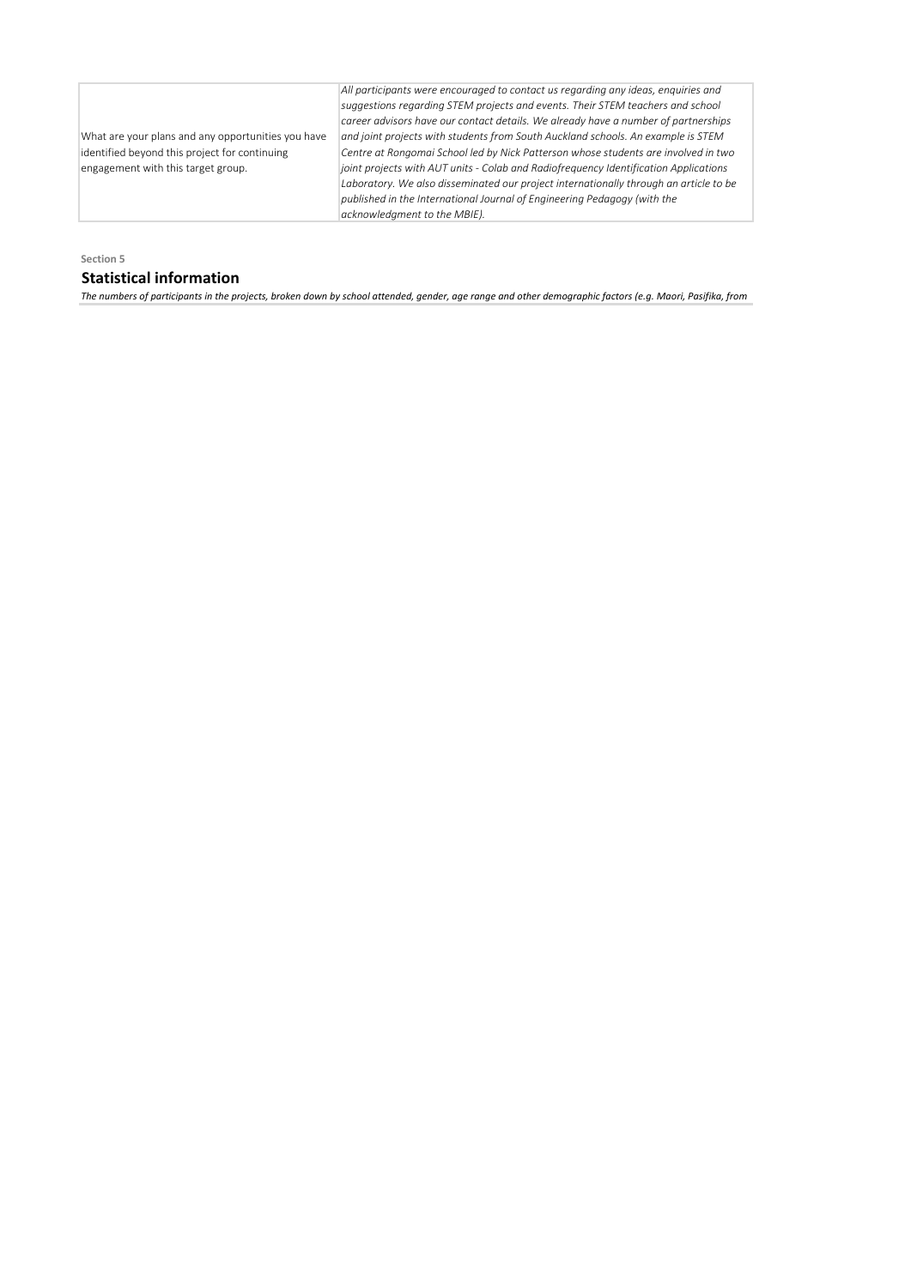|                                                    | All participants were encouraged to contact us regarding any ideas, enguiries and     |
|----------------------------------------------------|---------------------------------------------------------------------------------------|
|                                                    | suggestions regarding STEM projects and events. Their STEM teachers and school        |
|                                                    | career advisors have our contact details. We already have a number of partnerships    |
| What are your plans and any opportunities you have | and joint projects with students from South Auckland schools. An example is STEM      |
| identified beyond this project for continuing      | Centre at Rongomai School led by Nick Patterson whose students are involved in two    |
| engagement with this target group.                 | joint projects with AUT units - Colab and Radiofrequency Identification Applications  |
|                                                    | Laboratory. We also disseminated our project internationally through an article to be |
|                                                    | published in the International Journal of Engineering Pedagogy (with the              |
|                                                    | acknowledgment to the MBIE).                                                          |

**Section 5**

#### **Statistical information**

*The numbers of participants in the projects, broken down by school attended, gender, age range and other demographic factors (e.g. Maori, Pasifika, from*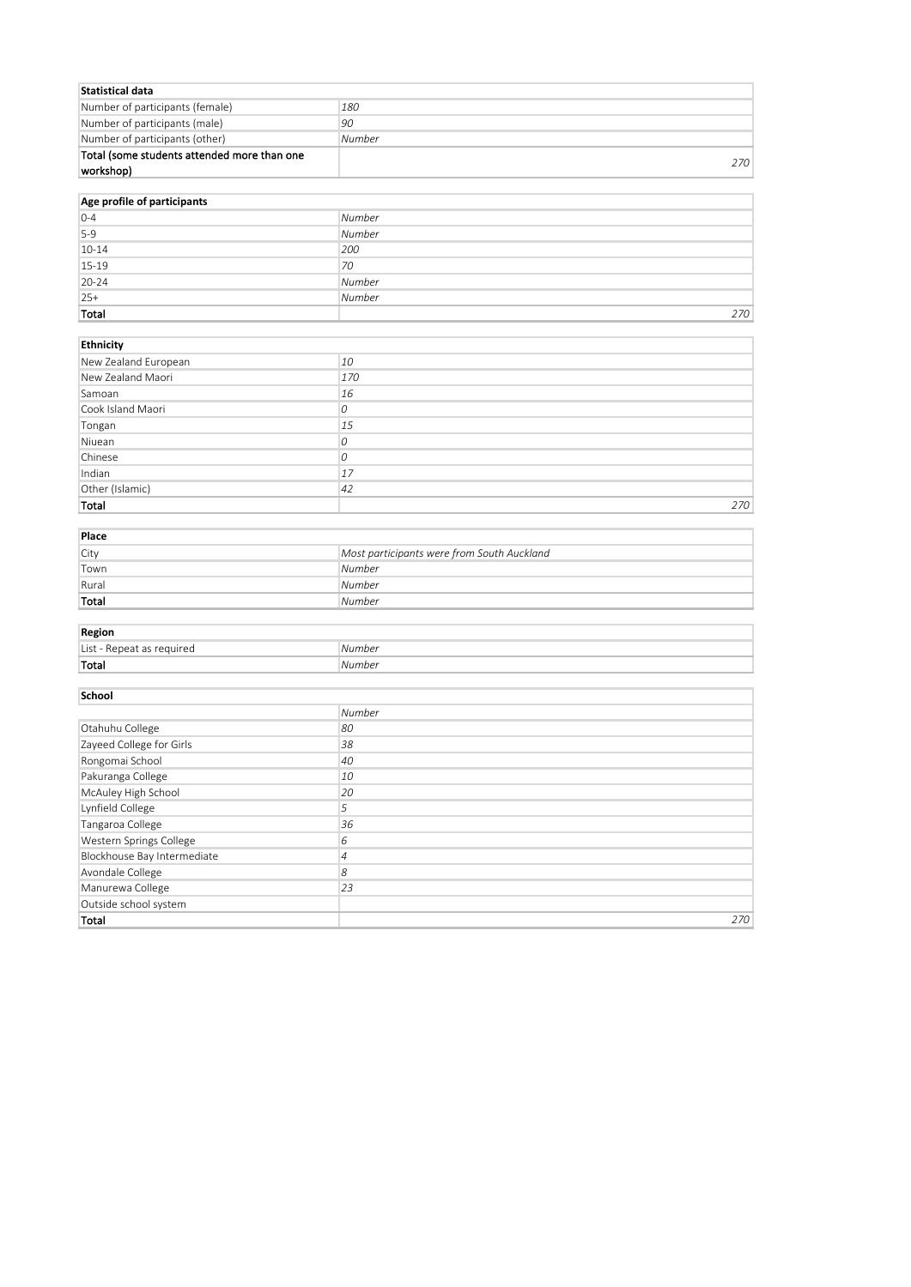| <b>Statistical data</b>                     |        |
|---------------------------------------------|--------|
| Number of participants (female)             | 180    |
| Number of participants (male)               | 90     |
| Number of participants (other)              | Number |
| Total (some students attended more than one | 270    |
| workshop)                                   |        |

| Age profile of participants |        |
|-----------------------------|--------|
| $0 - 4$                     | Number |
| $5-9$                       | Number |
| $10 - 14$                   | 200    |
| $15-19$                     | 70     |
| $20 - 24$                   | Number |
| $25+$                       | Number |
| <b>Total</b>                | 270    |

#### **Ethnicity**

| New Zealand European | 10  |
|----------------------|-----|
| New Zealand Maori    | 170 |
| Samoan               | 16  |
| Cook Island Maori    | 0   |
| Tongan               | 15  |
| Niuean               | O   |
| Chinese              | 0   |
| Indian               | 17  |
| Other (Islamic)      | 42  |
| Total                | 270 |

## **Place**

| .     |                                            |
|-------|--------------------------------------------|
| City  | Most participants were from South Auckland |
| Town  | Number                                     |
| Rural | Number                                     |
| Total | Number                                     |
|       |                                            |

#### **Region**

| List  | : Number |
|-------|----------|
| Total | Number   |

## **School**

|                             | Number |
|-----------------------------|--------|
| Otahuhu College             | 80     |
| Zayeed College for Girls    | 38     |
| Rongomai School             | 40     |
| Pakuranga College           | 10     |
| McAuley High School         | 20     |
| Lynfield College            | 5      |
| Tangaroa College            | 36     |
| Western Springs College     | 6      |
| Blockhouse Bay Intermediate | 4      |
| Avondale College            | 8      |
| Manurewa College            | 23     |
| Outside school system       |        |
| Total                       | 270    |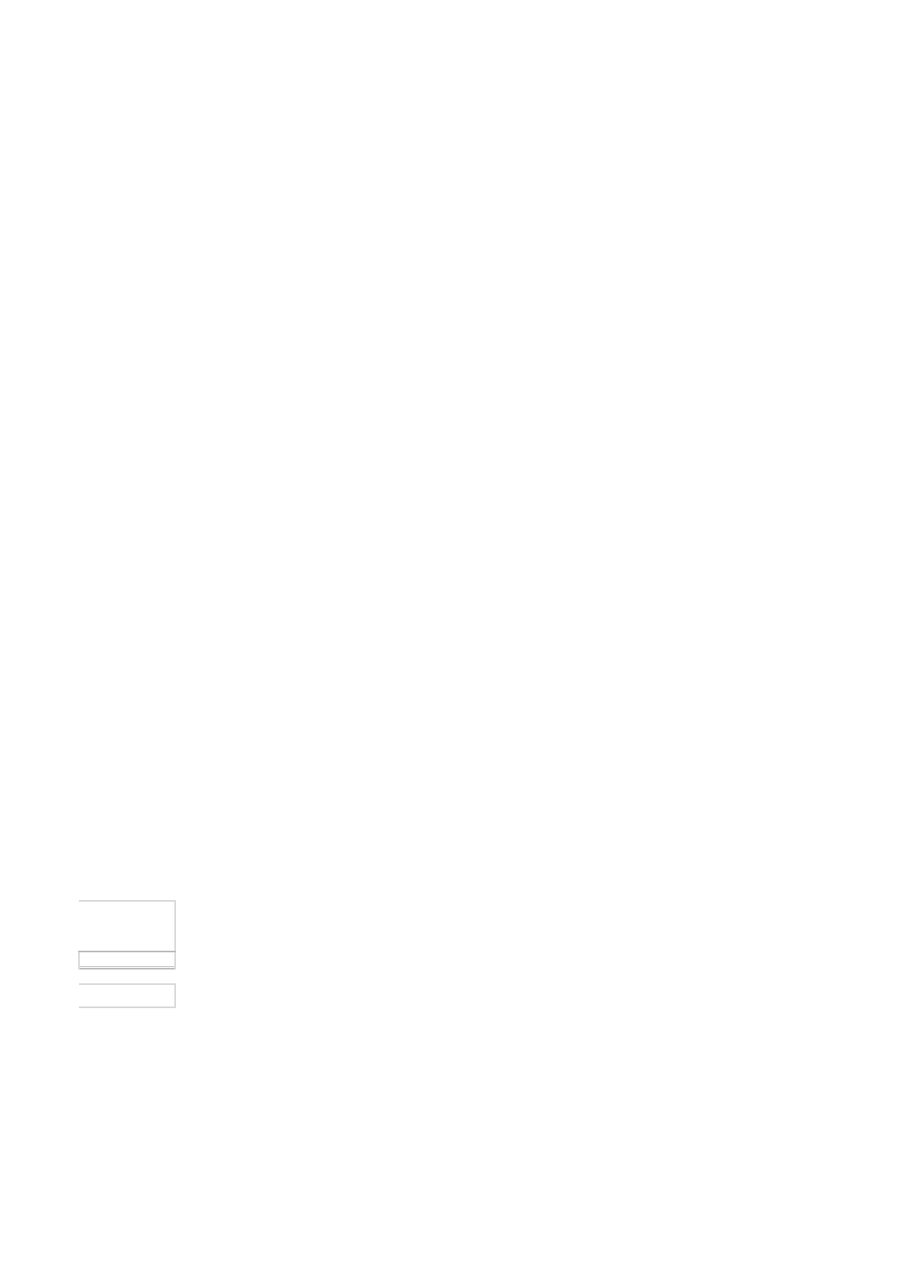